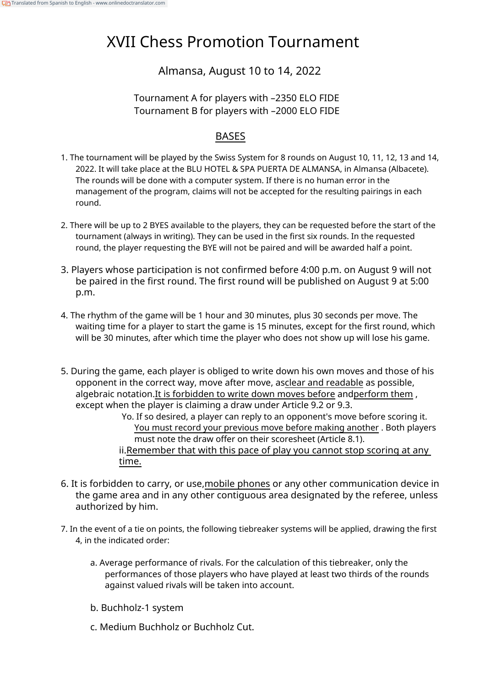# XVII Chess Promotion Tournament

## Almansa, August 10 to 14, 2022

#### Tournament A for players with –2350 ELO FIDE Tournament B for players with –2000 ELO FIDE

### BASES

- 1. The tournament will be played by the Swiss System for 8 rounds on August 10, 11, 12, 13 and 14, 2022. It will take place at the BLU HOTEL & SPA PUERTA DE ALMANSA, in Almansa (Albacete). The rounds will be done with a computer system. If there is no human error in the management of the program, claims will not be accepted for the resulting pairings in each round.
- 2. There will be up to 2 BYES available to the players, they can be requested before the start of the tournament (always in writing). They can be used in the first six rounds. In the requested round, the player requesting the BYE will not be paired and will be awarded half a point.
- 3. Players whose participation is not confirmed before 4:00 p.m. on August 9 will not be paired in the first round. The first round will be published on August 9 at 5:00 p.m.
- 4. The rhythm of the game will be 1 hour and 30 minutes, plus 30 seconds per move. The waiting time for a player to start the game is 15 minutes, except for the first round, which will be 30 minutes, after which time the player who does not show up will lose his game.
- 5. During the game, each player is obliged to write down his own moves and those of his opponent in the correct way, move after move, asclear and readable as possible, algebraic notation.It is forbidden to write down moves before andperform them , except when the player is claiming a draw under Article 9.2 or 9.3. Yo. If so desired, a player can reply to an opponent's move before scoring it. You must record your previous move before making another . Both players must note the draw offer on their scoresheet (Article 8.1). ii.Remember that with this pace of play you cannot stop scoring at any time.
- 6. It is forbidden to carry, or use,mobile phones or any other communication device in the game area and in any other contiguous area designated by the referee, unless authorized by him.
- 7. In the event of a tie on points, the following tiebreaker systems will be applied, drawing the first 4, in the indicated order:
	- a. Average performance of rivals. For the calculation of this tiebreaker, only the performances of those players who have played at least two thirds of the rounds against valued rivals will be taken into account.
	- b. Buchholz-1 system
	- c. Medium Buchholz or Buchholz Cut.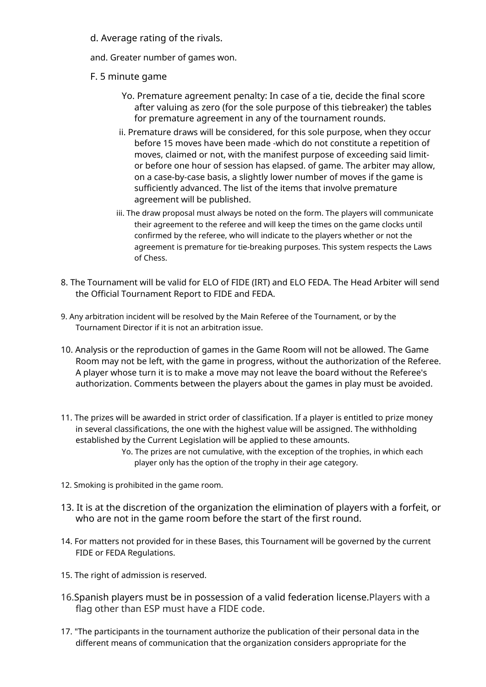- d. Average rating of the rivals.
- and. Greater number of games won.
- F. 5 minute game
	- Yo. Premature agreement penalty: In case of a tie, decide the final score after valuing as zero (for the sole purpose of this tiebreaker) the tables for premature agreement in any of the tournament rounds.
	- ii. Premature draws will be considered, for this sole purpose, when they occur before 15 moves have been made -which do not constitute a repetition of moves, claimed or not, with the manifest purpose of exceeding said limitor before one hour of session has elapsed. of game. The arbiter may allow, on a case-by-case basis, a slightly lower number of moves if the game is sufficiently advanced. The list of the items that involve premature agreement will be published.
	- iii. The draw proposal must always be noted on the form. The players will communicate their agreement to the referee and will keep the times on the game clocks until confirmed by the referee, who will indicate to the players whether or not the agreement is premature for tie-breaking purposes. This system respects the Laws of Chess.
- 8. The Tournament will be valid for ELO of FIDE (IRT) and ELO FEDA. The Head Arbiter will send the Official Tournament Report to FIDE and FEDA.
- 9. Any arbitration incident will be resolved by the Main Referee of the Tournament, or by the Tournament Director if it is not an arbitration issue.
- 10. Analysis or the reproduction of games in the Game Room will not be allowed. The Game Room may not be left, with the game in progress, without the authorization of the Referee. A player whose turn it is to make a move may not leave the board without the Referee's authorization. Comments between the players about the games in play must be avoided.
- 11. The prizes will be awarded in strict order of classification. If a player is entitled to prize money in several classifications, the one with the highest value will be assigned. The withholding established by the Current Legislation will be applied to these amounts. Yo. The prizes are not cumulative, with the exception of the trophies, in which each

player only has the option of the trophy in their age category.

- 12. Smoking is prohibited in the game room.
- 13. It is at the discretion of the organization the elimination of players with a forfeit, or who are not in the game room before the start of the first round.
- 14. For matters not provided for in these Bases, this Tournament will be governed by the current FIDE or FEDA Regulations.
- 15. The right of admission is reserved.
- 16.Spanish players must be in possession of a valid federation license.Players with a flag other than ESP must have a FIDE code.
- 17. "The participants in the tournament authorize the publication of their personal data in the different means of communication that the organization considers appropriate for the